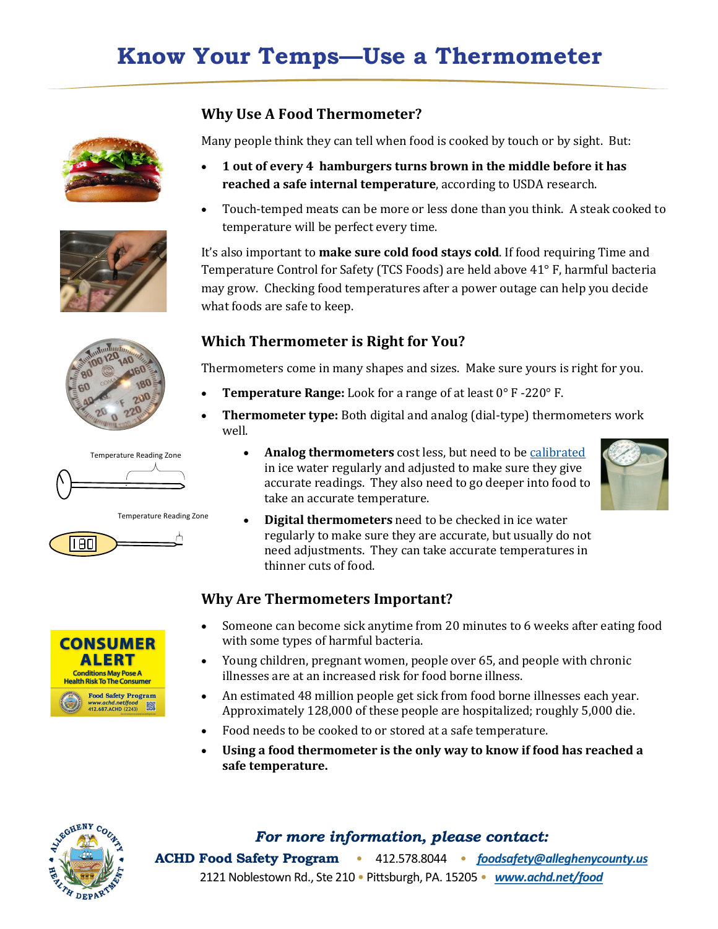## **Know Your Temps—Use a Thermometer**









Temperature Reading Zone





#### **Why Use A Food Thermometer?**

Many people think they can tell when food is cooked by touch or by sight. But:

- **1 out of every 4 hamburgers turns brown in the middle before it has reached a safe internal temperature**, according to USDA research.
- Touch-temped meats can be more or less done than you think. A steak cooked to temperature will be perfect every time.

It's also important to **make sure cold food stays cold**. If food requiring Time and Temperature Control for Safety (TCS Foods) are held above 41° F, harmful bacteria may grow. Checking food temperatures after a power outage can help you decide what foods are safe to keep.

### **Which Thermometer is Right for You?**

Thermometers come in many shapes and sizes. Make sure yours is right for you.

- **Temperature Range:** Look for a range of at least 0° F -220° F.
- **Thermometer type:** Both digital and analog (dial-type) thermometers work well.
	- **Analog thermometers** cost less, but need to be [calibrated](https://alleghenycounty.us/uploadedFiles/Allegheny_Home/Health_Department/Programs/Food_Safety/Thermometer_Calibration.pdf) in ice water regularly and adjusted to make sure they give accurate readings. They also need to go deeper into food to take an accurate temperature.



• **Digital thermometers** need to be checked in ice water regularly to make sure they are accurate, but usually do not need adjustments. They can take accurate temperatures in thinner cuts of food.

### **Why Are Thermometers Important?**

- Someone can become sick anytime from 20 minutes to 6 weeks after eating food with some types of harmful bacteria.
- Young children, pregnant women, people over 65, and people with chronic illnesses are at an increased risk for food borne illness.
- An estimated 48 million people get sick from food borne illnesses each year. Approximately 128,000 of these people are hospitalized; roughly 5,000 die.
- Food needs to be cooked to or stored at a safe temperature.
- **Using a food thermometer is the only way to know if food has reached a safe temperature.**



### *For more information, please contact:*

**ACHD Food Safety Program** • 412.578.8044 • *[foodsafety@alleghenycounty.us](mailto:foodsafety@alleghenycounty.us)* 2121 Noblestown Rd., Ste 210 • Pittsburgh, PA. 15205 • *[www.achd.net/food](https://alleghenycounty.us/Health-Department/Programs/Food-Safety/Food-Safety-Program.aspx)*